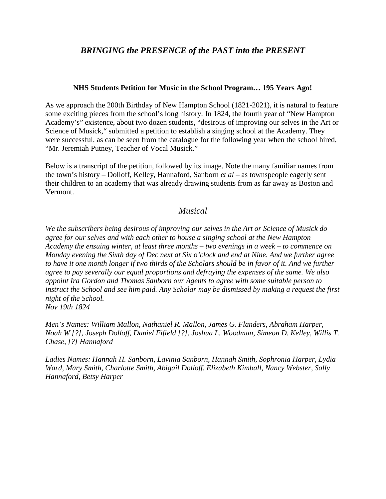## *BRINGING the PRESENCE of the PAST into the PRESENT*

## **NHS Students Petition for Music in the School Program… 195 Years Ago!**

As we approach the 200th Birthday of New Hampton School (1821-2021), it is natural to feature some exciting pieces from the school's long history. In 1824, the fourth year of "New Hampton Academy's" existence, about two dozen students, "desirous of improving our selves in the Art or Science of Musick," submitted a petition to establish a singing school at the Academy. They were successful, as can be seen from the catalogue for the following year when the school hired, "Mr. Jeremiah Putney, Teacher of Vocal Musick."

Below is a transcript of the petition, followed by its image. Note the many familiar names from the town's history – Dolloff, Kelley, Hannaford, Sanborn *et al* – as townspeople eagerly sent their children to an academy that was already drawing students from as far away as Boston and Vermont.

## *Musical*

*We the subscribers being desirous of improving our selves in the Art or Science of Musick do agree for our selves and with each other to house a singing school at the New Hampton Academy the ensuing winter, at least three months – two evenings in a week – to commence on* Monday evening the Sixth day of Dec next at Six o'clock and end at Nine. And we further agree to have it one month longer if two thirds of the Scholars should be in favor of it. And we further *agree to pay severally our equal proportions and defraying the expenses of the same. We also appoint Ira Gordon and Thomas Sanborn our Agents to agree with some suitable person to instruct the School and see him paid. Any Scholar may be dismissed by making a request the first night of the School. Nov 19th 1824*

*Men's Names: William Mallon, Nathaniel R. Mallon, James G. Flanders, Abraham Harper, Noah W [?], Joseph Dolloff, Daniel Fifield [?],Joshua L. Woodman, Simeon D. Kelley, Willis T. Chase, [?] Hannaford*

*Ladies Names: Hannah H. Sanborn, Lavinia Sanborn, Hannah Smith, Sophronia Harper, Lydia Ward, Mary Smith, Charlotte Smith, Abigail Dolloff, Elizabeth Kimball, Nancy Webster, Sally Hannaford, Betsy Harper*